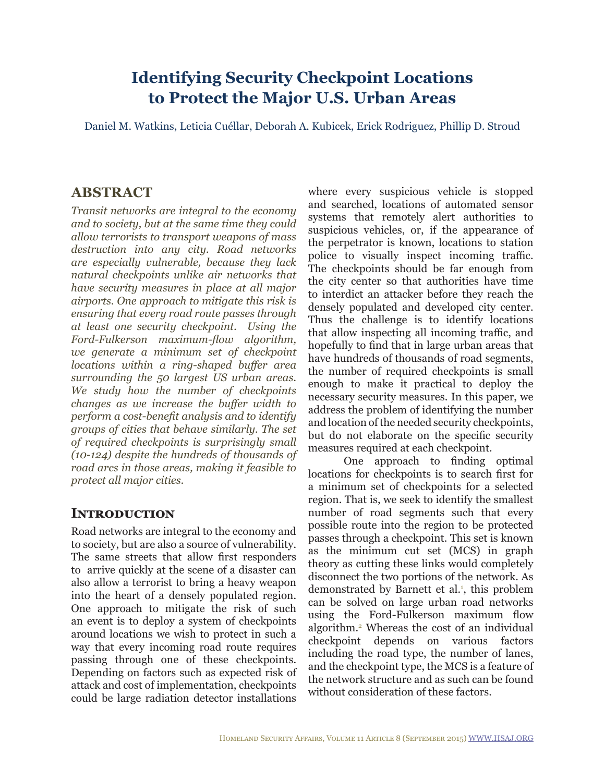# **Identifying Security Checkpoint Locations to Protect the Major U.S. Urban Areas**

Daniel M. Watkins, Leticia Cuéllar, Deborah A. Kubicek, Erick Rodriguez, Phillip D. Stroud

# **ABSTRACT**

*Transit networks are integral to the economy and to society, but at the same time they could allow terrorists to transport weapons of mass destruction into any city. Road networks are especially vulnerable, because they lack natural checkpoints unlike air networks that have security measures in place at all major airports. One approach to mitigate this risk is ensuring that every road route passes through at least one security checkpoint. Using the Ford-Fulkerson maximum-flow algorithm, we generate a minimum set of checkpoint locations within a ring-shaped buffer area surrounding the 50 largest US urban areas. We study how the number of checkpoints changes as we increase the buffer width to perform a cost-benefit analysis and to identify groups of cities that behave similarly. The set of required checkpoints is surprisingly small (10-124) despite the hundreds of thousands of road arcs in those areas, making it feasible to protect all major cities.*

# **INTRODUCTION**

Road networks are integral to the economy and to society, but are also a source of vulnerability. The same streets that allow first responders to arrive quickly at the scene of a disaster can also allow a terrorist to bring a heavy weapon into the heart of a densely populated region. One approach to mitigate the risk of such an event is to deploy a system of checkpoints around locations we wish to protect in such a way that every incoming road route requires passing through one of these checkpoints. Depending on factors such as expected risk of attack and cost of implementation, checkpoints could be large radiation detector installations

where every suspicious vehicle is stopped and searched, locations of automated sensor systems that remotely alert authorities to suspicious vehicles, or, if the appearance of the perpetrator is known, locations to station police to visually inspect incoming traffic. The checkpoints should be far enough from the city center so that authorities have time to interdict an attacker before they reach the densely populated and developed city center. Thus the challenge is to identify locations that allow inspecting all incoming traffic, and hopefully to find that in large urban areas that have hundreds of thousands of road segments, the number of required checkpoints is small enough to make it practical to deploy the necessary security measures. In this paper, we address the problem of identifying the number and location of the needed security checkpoints, but do not elaborate on the specific security measures required at each checkpoint.

One approach to finding optimal locations for checkpoints is to search first for a minimum set of checkpoints for a selected region. That is, we seek to identify the smallest number of road segments such that every possible route into the region to be protected passes through a checkpoint. This set is known as the minimum cut set (MCS) in graph theory as cutting these links would completely disconnect the two portions of the network. As demonstrated by Barnett et al.<sup>1</sup>, this problem can be solved on large urban road networks using the Ford-Fulkerson maximum flow algorithm.[2](#page-15-1) Whereas the cost of an individual checkpoint depends on various factors including the road type, the number of lanes, and the checkpoint type, the MCS is a feature of the network structure and as such can be found without consideration of these factors.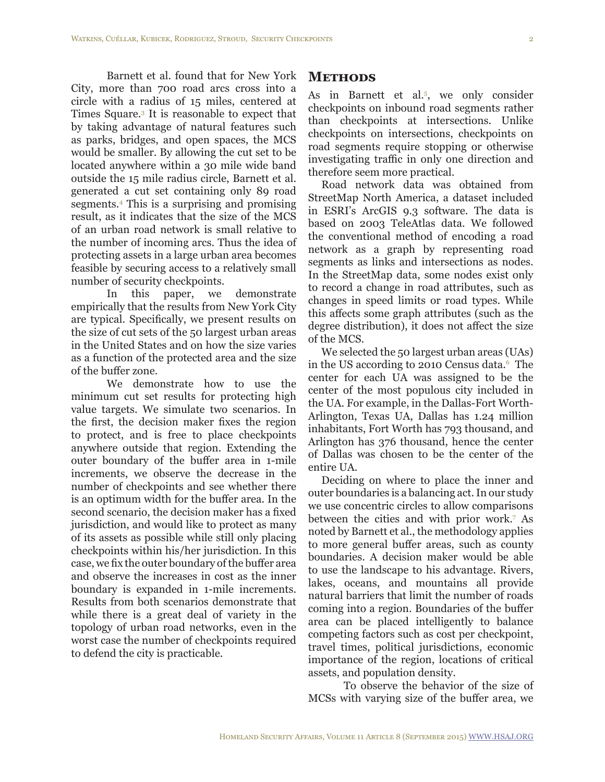Barnett et al. found that for New York City, more than 700 road arcs cross into a circle with a radius of 15 miles, centered at Times Square.[3](#page-15-2) It is reasonable to expect that by taking advantage of natural features such as parks, bridges, and open spaces, the MCS would be smaller. By allowing the cut set to be located anywhere within a 30 mile wide band outside the 15 mile radius circle, Barnett et al. generated a cut set containing only 89 road segments.[4](#page-15-3) This is a surprising and promising result, as it indicates that the size of the MCS of an urban road network is small relative to the number of incoming arcs. Thus the idea of protecting assets in a large urban area becomes feasible by securing access to a relatively small number of security checkpoints.

In this paper, we demonstrate empirically that the results from New York City are typical. Specifically, we present results on the size of cut sets of the 50 largest urban areas in the United States and on how the size varies as a function of the protected area and the size of the buffer zone.

We demonstrate how to use the minimum cut set results for protecting high value targets. We simulate two scenarios. In the first, the decision maker fixes the region to protect, and is free to place checkpoints anywhere outside that region. Extending the outer boundary of the buffer area in 1-mile increments, we observe the decrease in the number of checkpoints and see whether there is an optimum width for the buffer area. In the second scenario, the decision maker has a fixed jurisdiction, and would like to protect as many of its assets as possible while still only placing checkpoints within his/her jurisdiction. In this case, we fix the outer boundary of the buffer area and observe the increases in cost as the inner boundary is expanded in 1-mile increments. Results from both scenarios demonstrate that while there is a great deal of variety in the topology of urban road networks, even in the worst case the number of checkpoints required to defend the city is practicable.

#### **Methods**

As in Barnett et al[.5](#page-15-4) , we only consider checkpoints on inbound road segments rather than checkpoints at intersections. Unlike checkpoints on intersections, checkpoints on road segments require stopping or otherwise investigating traffic in only one direction and therefore seem more practical.

Road network data was obtained from StreetMap North America, a dataset included in ESRI's ArcGIS 9.3 software. The data is based on 2003 TeleAtlas data. We followed the conventional method of encoding a road network as a graph by representing road segments as links and intersections as nodes. In the StreetMap data, some nodes exist only to record a change in road attributes, such as changes in speed limits or road types. While this affects some graph attributes (such as the degree distribution), it does not affect the size of the MCS.

We selected the 50 largest urban areas (UAs) in the US according to 2010 Census data.[6](#page-15-5) The center for each UA was assigned to be the center of the most populous city included in the UA. For example, in the Dallas-Fort Worth-Arlington, Texas UA, Dallas has 1.24 million inhabitants, Fort Worth has 793 thousand, and Arlington has 376 thousand, hence the center of Dallas was chosen to be the center of the entire UA.

Deciding on where to place the inner and outer boundaries is a balancing act. In our study we use concentric circles to allow comparisons between the cities and with prior work[.7](#page-15-6) As noted by Barnett et al., the methodology applies to more general buffer areas, such as county boundaries. A decision maker would be able to use the landscape to his advantage. Rivers, lakes, oceans, and mountains all provide natural barriers that limit the number of roads coming into a region. Boundaries of the buffer area can be placed intelligently to balance competing factors such as cost per checkpoint, travel times, political jurisdictions, economic importance of the region, locations of critical assets, and population density.

To observe the behavior of the size of MCSs with varying size of the buffer area, we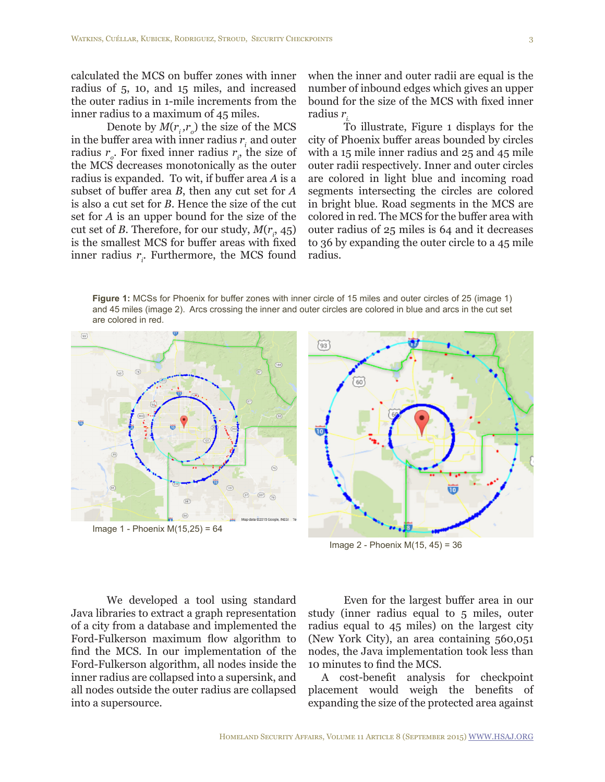calculated the MCS on buffer zones with inner radius of 5, 10, and 15 miles, and increased the outer radius in 1-mile increments from the inner radius to a maximum of 45 miles.

Denote by  $M(r_i, r_o)$  the size of the MCS in the buffer area with inner radius  $r_i$  and outer radius  $r_o$ . For fixed inner radius  $r_i$ , the size of the MCS decreases monotonically as the outer radius is expanded. To wit, if buffer area *A* is a subset of buffer area *B*, then any cut set for *A* is also a cut set for *B*. Hence the size of the cut set for *A* is an upper bound for the size of the cut set of *B*. Therefore, for our study,  $M(r_i, 45)$ is the smallest MCS for buffer areas with fixed inner radius  $r_i$ . Furthermore, the MCS found

when the inner and outer radii are equal is the number of inbound edges which gives an upper bound for the size of the MCS with fixed inner radius *ri.*

To illustrate, Figure 1 displays for the city of Phoenix buffer areas bounded by circles with a 15 mile inner radius and 25 and 45 mile outer radii respectively. Inner and outer circles are colored in light blue and incoming road segments intersecting the circles are colored in bright blue. Road segments in the MCS are colored in red. The MCS for the buffer area with outer radius of 25 miles is 64 and it decreases to 36 by expanding the outer circle to a 45 mile radius.

**Figure 1:** MCSs for Phoenix for buffer zones with inner circle of 15 miles and outer circles of 25 (image 1) and 45 miles (image 2). Arcs crossing the inner and outer circles are colored in blue and arcs in the cut set are colored in red.





Image 2 - Phoenix M(15, 45) = 36

We developed a tool using standard Java libraries to extract a graph representation of a city from a database and implemented the Ford-Fulkerson maximum flow algorithm to find the MCS. In our implementation of the Ford-Fulkerson algorithm, all nodes inside the inner radius are collapsed into a supersink, and all nodes outside the outer radius are collapsed into a supersource.

Even for the largest buffer area in our study (inner radius equal to 5 miles, outer radius equal to 45 miles) on the largest city (New York City), an area containing 560,051 nodes, the Java implementation took less than 10 minutes to find the MCS.

A cost-benefit analysis for checkpoint placement would weigh the benefits of expanding the size of the protected area against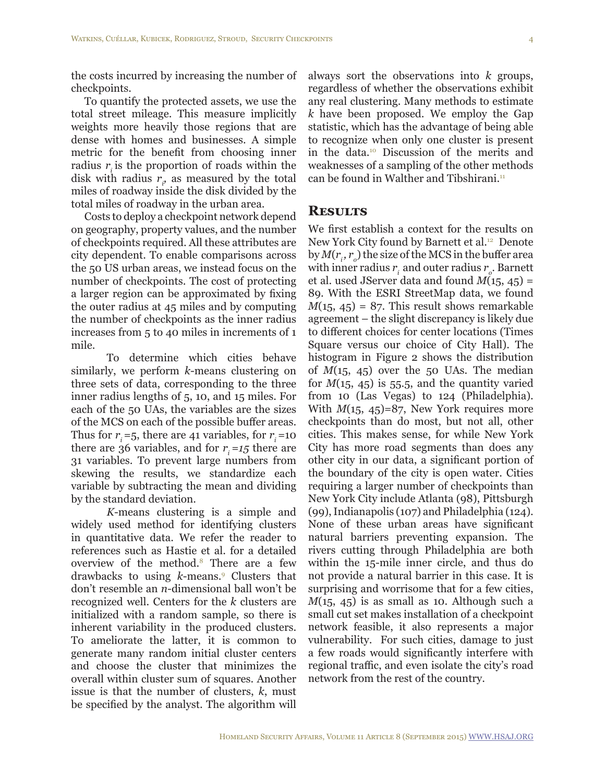the costs incurred by increasing the number of checkpoints.

To quantify the protected assets, we use the total street mileage. This measure implicitly weights more heavily those regions that are dense with homes and businesses. A simple metric for the benefit from choosing inner radius  $r_i$  is the proportion of roads within the disk with radius  $r_i$ , as measured by the total miles of roadway inside the disk divided by the total miles of roadway in the urban area.

Costs to deploy a checkpoint network depend on geography, property values, and the number of checkpoints required. All these attributes are city dependent. To enable comparisons across the 50 US urban areas, we instead focus on the number of checkpoints. The cost of protecting a larger region can be approximated by fixing the outer radius at 45 miles and by computing the number of checkpoints as the inner radius increases from 5 to 40 miles in increments of 1 mile.

To determine which cities behave similarly, we perform *k*-means clustering on three sets of data, corresponding to the three inner radius lengths of 5, 10, and 15 miles. For each of the 50 UAs, the variables are the sizes of the MCS on each of the possible buffer areas. Thus for  $r_1 = 5$ , there are 41 variables, for  $r_1 = 10$ there are 36 variables, and for  $r_i = 15$  there are 31 variables. To prevent large numbers from skewing the results, we standardize each variable by subtracting the mean and dividing by the standard deviation.

*K*-means clustering is a simple and widely used method for identifying clusters in quantitative data. We refer the reader to references such as Hastie et al. for a detailed overview of the method.[8](#page-15-10) There are a few drawbacks to using *k*-means[.9](#page-15-11) Clusters that don't resemble an *n*-dimensional ball won't be recognized well. Centers for the *k* clusters are initialized with a random sample, so there is inherent variability in the produced clusters. To ameliorate the latter, it is common to generate many random initial cluster centers and choose the cluster that minimizes the overall within cluster sum of squares. Another issue is that the number of clusters, *k*, must be specified by the analyst. The algorithm will

always sort the observations into *k* groups, regardless of whether the observations exhibit any real clustering. Many methods to estimate *k* have been proposed. We employ the Gap statistic, which has the advantage of being able to recognize when only one cluster is present in the data[.10](#page-15-7) Discussion of the merits and weaknesses of a sampling of the other methods can be found in Walther and Tibshirani.<sup>[11](#page-15-8)</sup>

#### **Results**

We first establish a context for the results on New York City found by Barnett et al.<sup>12</sup> Denote by  $M(r_i, r_o)$  the size of the MCS in the buffer area with inner radius  $r_{\scriptscriptstyle i}$  and outer radius  $r_{\scriptscriptstyle o}$ . Barnett et al. used JServer data and found *M*(15, 45) = 89. With the ESRI StreetMap data, we found  $M(15, 45) = 87$ . This result shows remarkable agreement – the slight discrepancy is likely due to different choices for center locations (Times Square versus our choice of City Hall). The histogram in Figure 2 shows the distribution of  $M(15, 45)$  over the 50 UAs. The median for  $M(15, 45)$  is 55.5, and the quantity varied from 10 (Las Vegas) to 124 (Philadelphia). With *M*(15, 45)=87, New York requires more checkpoints than do most, but not all, other cities. This makes sense, for while New York City has more road segments than does any other city in our data, a significant portion of the boundary of the city is open water. Cities requiring a larger number of checkpoints than New York City include Atlanta (98), Pittsburgh (99), Indianapolis (107) and Philadelphia (124). None of these urban areas have significant natural barriers preventing expansion. The rivers cutting through Philadelphia are both within the 15-mile inner circle, and thus do not provide a natural barrier in this case. It is surprising and worrisome that for a few cities,  $M(15, 45)$  is as small as 10. Although such a small cut set makes installation of a checkpoint network feasible, it also represents a major vulnerability. For such cities, damage to just a few roads would significantly interfere with regional traffic, and even isolate the city's road network from the rest of the country.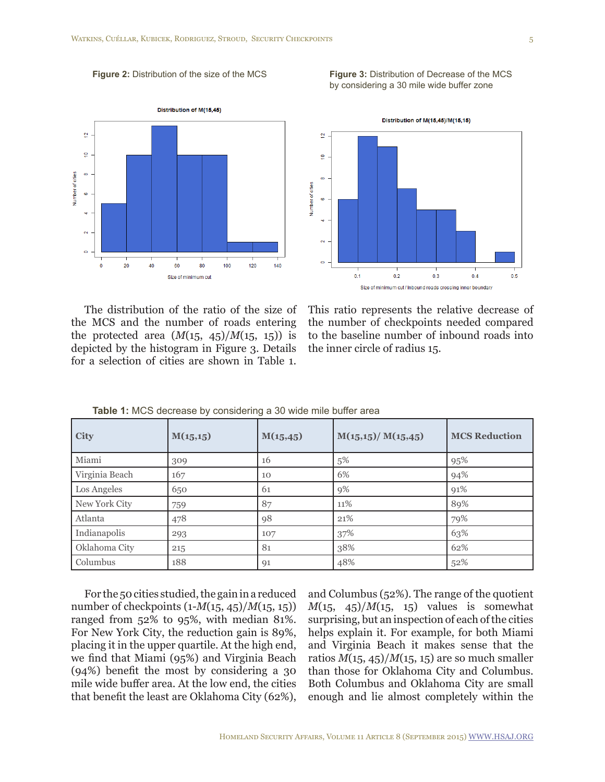**Figure 2:** Distribution of the size of the MCS

**Figure 3:** Distribution of Decrease of the MCS by considering a 30 mile wide buffer zone





The distribution of the ratio of the size of the MCS and the number of roads entering the protected area  $(M(15, 45)/M(15, 15))$  is depicted by the histogram in Figure 3. Details for a selection of cities are shown in Table 1.

This ratio represents the relative decrease of the number of checkpoints needed compared to the baseline number of inbound roads into the inner circle of radius 15.

| <b>City</b>    | M(15,15) | M(15, 45) | M(15,15)/M(15,45) | <b>MCS Reduction</b> |
|----------------|----------|-----------|-------------------|----------------------|
| Miami          | 309      | 16        | 5%                | 95%                  |
| Virginia Beach | 167      | 10        | 6%                | 94%                  |
| Los Angeles    | 650      | 61        | 9%                | 91%                  |
| New York City  | 759      | 87        | 11%               | 89%                  |
| Atlanta        | 478      | 98        | 21%               | 79%                  |
| Indianapolis   | 293      | 107       | 37%               | 63%                  |
| Oklahoma City  | 215      | 81        | 38%               | 62%                  |
| Columbus       | 188      | 91        | 48%               | 52%                  |

**Table 1:** MCS decrease by considering a 30 wide mile buffer area

For the 50 cities studied, the gain in a reduced number of checkpoints (1-*M*(15, 45)/*M*(15, 15)) ranged from 52% to 95%, with median 81%. For New York City, the reduction gain is 89%, placing it in the upper quartile. At the high end, we find that Miami (95%) and Virginia Beach (94%) benefit the most by considering a 30 mile wide buffer area. At the low end, the cities that benefit the least are Oklahoma City (62%), and Columbus (52%). The range of the quotient  $M(15, 45)/M(15, 15)$  values is somewhat surprising, but an inspection of each of the cities helps explain it. For example, for both Miami and Virginia Beach it makes sense that the ratios  $M(15, 45)/M(15, 15)$  are so much smaller than those for Oklahoma City and Columbus. Both Columbus and Oklahoma City are small enough and lie almost completely within the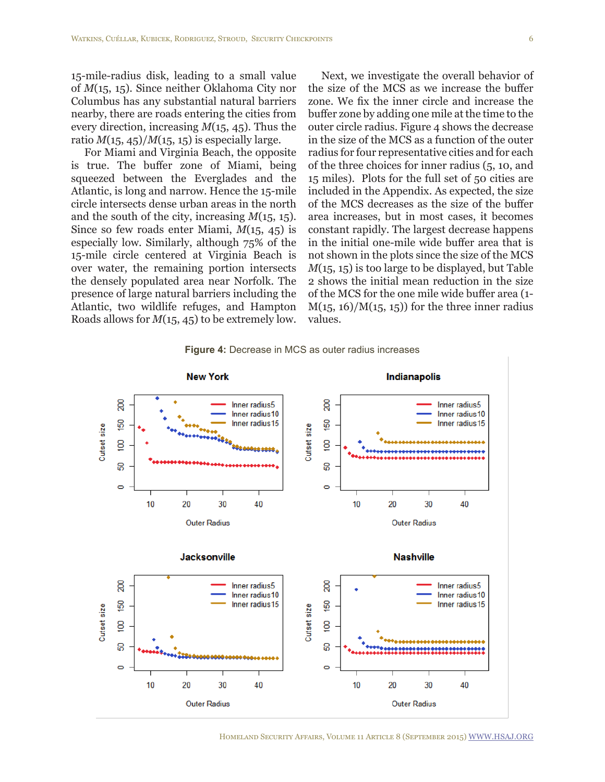15-mile-radius disk, leading to a small value of *M*(15, 15). Since neither Oklahoma City nor Columbus has any substantial natural barriers nearby, there are roads entering the cities from every direction, increasing *M*(15, 45). Thus the ratio  $M(15, 45)/M(15, 15)$  is especially large.

For Miami and Virginia Beach, the opposite is true. The buffer zone of Miami, being squeezed between the Everglades and the Atlantic, is long and narrow. Hence the 15-mile circle intersects dense urban areas in the north and the south of the city, increasing *M*(15, 15). Since so few roads enter Miami, *M*(15, 45) is especially low. Similarly, although 75% of the 15-mile circle centered at Virginia Beach is over water, the remaining portion intersects the densely populated area near Norfolk. The presence of large natural barriers including the Atlantic, two wildlife refuges, and Hampton Roads allows for *M*(15, 45) to be extremely low.

Next, we investigate the overall behavior of the size of the MCS as we increase the buffer zone. We fix the inner circle and increase the buffer zone by adding one mile at the time to the outer circle radius. Figure 4 shows the decrease in the size of the MCS as a function of the outer radius for four representative cities and for each of the three choices for inner radius (5, 10, and 15 miles). Plots for the full set of 50 cities are included in the Appendix. As expected, the size of the MCS decreases as the size of the buffer area increases, but in most cases, it becomes constant rapidly. The largest decrease happens in the initial one-mile wide buffer area that is not shown in the plots since the size of the MCS *M*(15, 15) is too large to be displayed, but Table 2 shows the initial mean reduction in the size of the MCS for the one mile wide buffer area (1-  $M(15, 16)/M(15, 15)$  for the three inner radius values.



**Figure 4:** Decrease in MCS as outer radius increases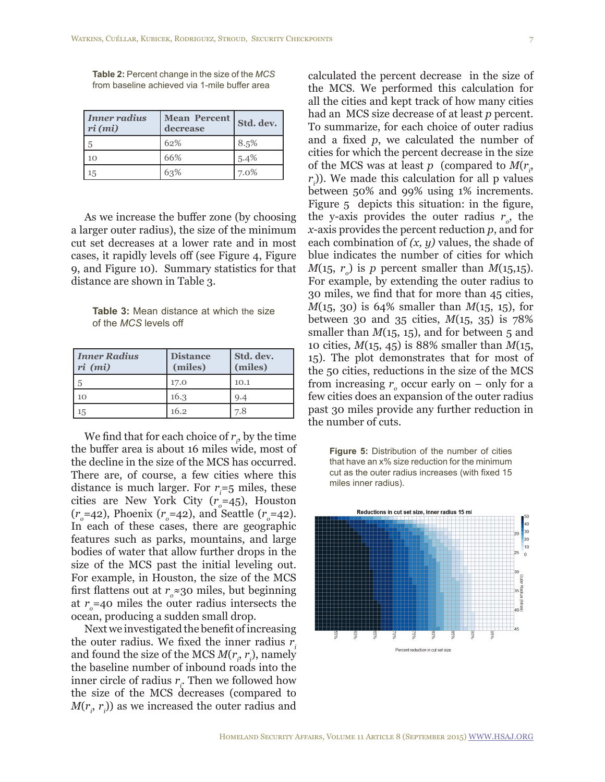| Inner radius<br>$ri$ (mi) | <b>Mean Percent</b><br>decrease | Std. dev. |  |
|---------------------------|---------------------------------|-----------|--|
|                           | 62%                             | 8.5%      |  |
| 10                        | 66%                             | 5.4%      |  |
| 15                        | 63%                             | 7.0%      |  |

**Table 2:** Percent change in the size of the *MCS* from baseline achieved via 1-mile buffer area

As we increase the buffer zone (by choosing a larger outer radius), the size of the minimum cut set decreases at a lower rate and in most cases, it rapidly levels off (see Figure 4, Figure 9, and Figure 10). Summary statistics for that distance are shown in Table 3.

**Table 3:** Mean distance at which the size of the *MCS* levels off

| <b>Inner Radius</b><br>$ri$ ( $mi$ ) | <b>Distance</b><br>(miles) | Std. dev.<br>(miles) |
|--------------------------------------|----------------------------|----------------------|
| 5                                    | 17.0                       | 10.1                 |
| 10                                   | 16.3                       | 9.4                  |
| 15                                   | 16.2                       | 7.8                  |

We find that for each choice of  $r_i$ , by the time the buffer area is about 16 miles wide, most of the decline in the size of the MCS has occurred. There are, of course, a few cities where this distance is much larger. For  $r_i = 5$  miles, these cities are New York City  $(r<sub>o</sub>=45)$ , Houston  $(r_o = 42)$ , Phoenix  $(r_o = 42)$ , and Seattle  $(r_o = 42)$ . In each of these cases, there are geographic features such as parks, mountains, and large bodies of water that allow further drops in the size of the MCS past the initial leveling out. For example, in Houston, the size of the MCS first flattens out at  $r_{\circ} \approx$  30 miles, but beginning at  $r_{o}$ =40 miles the outer radius intersects the ocean, producing a sudden small drop.

Next we investigated the benefit of increasing the outer radius. We fixed the inner radius  $r_i$ and found the size of the MCS  $M(r_i, r_i)$ , namely the baseline number of inbound roads into the inner circle of radius  $r_i$ . Then we followed how the size of the MCS decreases (compared to  $M(r_i, r_i)$ ) as we increased the outer radius and

calculated the percent decrease in the size of the MCS. We performed this calculation for all the cities and kept track of how many cities had an MCS size decrease of at least *p* percent. To summarize, for each choice of outer radius and a fixed *p*, we calculated the number of cities for which the percent decrease in the size of the MCS was at least  $p \pmod{M(r_i)}$  $r<sub>i</sub>$ ). We made this calculation for all p values between 50% and 99% using 1% increments. Figure 5 depicts this situation: in the figure, the y-axis provides the outer radius  $r_o$ , the *x*-axis provides the percent reduction *p*, and for each combination of *(x, y)* values, the shade of blue indicates the number of cities for which  $M(15, r_o)$  is *p* percent smaller than  $M(15, 15)$ . For example, by extending the outer radius to 30 miles, we find that for more than 45 cities, *M*(15, 30) is 64% smaller than *M*(15, 15), for between 30 and 35 cities, *M*(15, 35) is 78% smaller than  $M(15, 15)$ , and for between 5 and 10 cities, *M*(15, 45) is 88% smaller than *M*(15, 15). The plot demonstrates that for most of the 50 cities, reductions in the size of the MCS from increasing  $r_o$  occur early on – only for a few cities does an expansion of the outer radius past 30 miles provide any further reduction in the number of cuts.

**Figure 5:** Distribution of the number of cities that have an x% size reduction for the minimum cut as the outer radius increases (with fixed 15 miles inner radius).

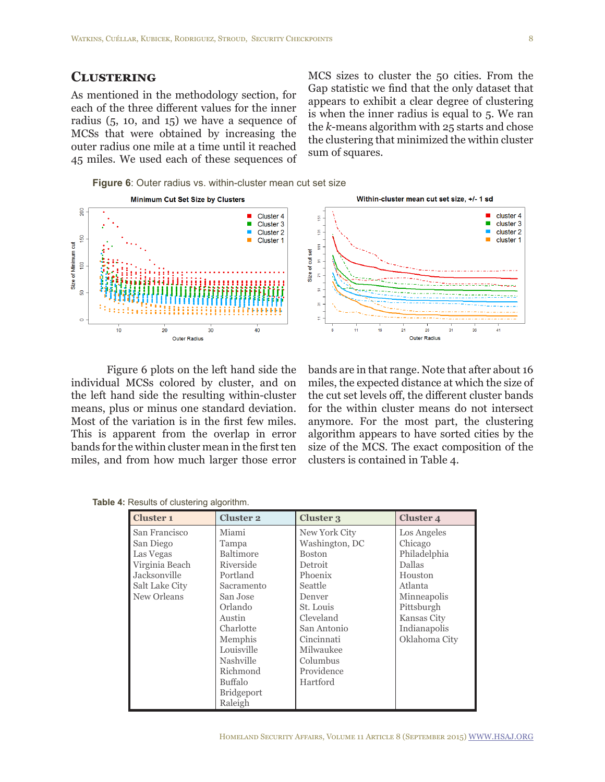## **Clustering**

As mentioned in the methodology section, for each of the three different values for the inner radius (5, 10, and 15) we have a sequence of MCSs that were obtained by increasing the outer radius one mile at a time until it reached 45 miles. We used each of these sequences of

MCS sizes to cluster the 50 cities. From the Gap statistic we find that the only dataset that appears to exhibit a clear degree of clustering is when the inner radius is equal to 5. We ran the *k*-means algorithm with 25 starts and chose the clustering that minimized the within cluster sum of squares.

**Figure 6**: Outer radius vs. within-cluster mean cut set size



Figure 6 plots on the left hand side the individual MCSs colored by cluster, and on the left hand side the resulting within-cluster means, plus or minus one standard deviation. Most of the variation is in the first few miles. This is apparent from the overlap in error bands for the within cluster mean in the first ten miles, and from how much larger those error

bands are in that range. Note that after about 16 miles, the expected distance at which the size of the cut set levels off, the different cluster bands for the within cluster means do not intersect anymore. For the most part, the clustering algorithm appears to have sorted cities by the size of the MCS. The exact composition of the clusters is contained in Table 4.

**Table 4:** Results of clustering algorithm.

| <b>Cluster 1</b>                                                                                           | <b>Cluster 2</b>                                                                                                                                                                                                 | Cluster 3                                                                                                                                                                                             | Cluster 4                                                                                                                                                  |
|------------------------------------------------------------------------------------------------------------|------------------------------------------------------------------------------------------------------------------------------------------------------------------------------------------------------------------|-------------------------------------------------------------------------------------------------------------------------------------------------------------------------------------------------------|------------------------------------------------------------------------------------------------------------------------------------------------------------|
| San Francisco<br>San Diego<br>Las Vegas<br>Virginia Beach<br>Jacksonville<br>Salt Lake City<br>New Orleans | Miami<br>Tampa<br><b>Baltimore</b><br>Riverside<br>Portland<br>Sacramento<br>San Jose<br>Orlando<br>Austin<br>Charlotte<br>Memphis<br>Louisville<br>Nashville<br>Richmond<br><b>Buffalo</b><br><b>Bridgeport</b> | New York City<br>Washington, DC<br><b>Boston</b><br>Detroit<br>Phoenix<br>Seattle<br>Denver<br>St. Louis<br>Cleveland<br>San Antonio<br>Cincinnati<br>Milwaukee<br>Columbus<br>Providence<br>Hartford | Los Angeles<br>Chicago<br>Philadelphia<br><b>Dallas</b><br>Houston<br>Atlanta<br>Minneapolis<br>Pittsburgh<br>Kansas City<br>Indianapolis<br>Oklahoma City |
|                                                                                                            | Raleigh                                                                                                                                                                                                          |                                                                                                                                                                                                       |                                                                                                                                                            |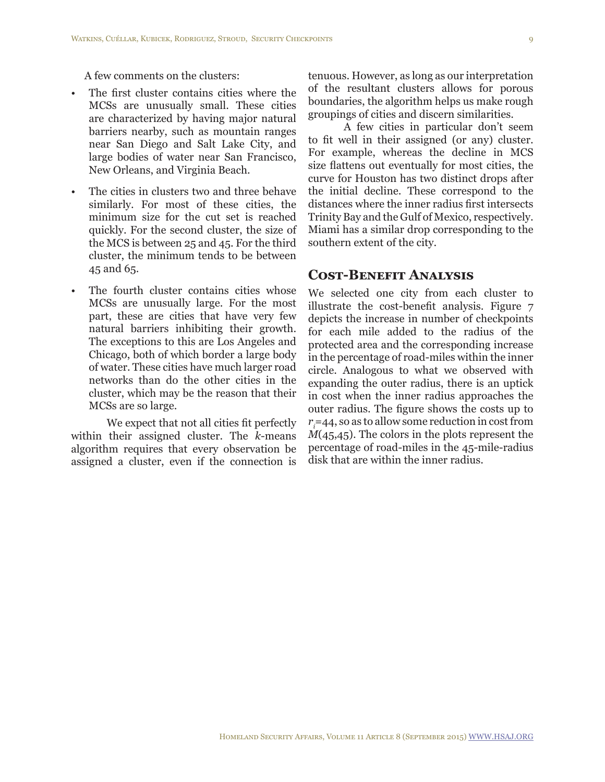A few comments on the clusters:

- The first cluster contains cities where the MCSs are unusually small. These cities are characterized by having major natural barriers nearby, such as mountain ranges near San Diego and Salt Lake City, and large bodies of water near San Francisco, New Orleans, and Virginia Beach.
- The cities in clusters two and three behave similarly. For most of these cities, the minimum size for the cut set is reached quickly. For the second cluster, the size of the MCS is between 25 and 45. For the third cluster, the minimum tends to be between 45 and 65.
- The fourth cluster contains cities whose MCSs are unusually large. For the most part, these are cities that have very few natural barriers inhibiting their growth. The exceptions to this are Los Angeles and Chicago, both of which border a large body of water. These cities have much larger road networks than do the other cities in the cluster, which may be the reason that their MCSs are so large.

We expect that not all cities fit perfectly within their assigned cluster. The *k*-means algorithm requires that every observation be assigned a cluster, even if the connection is

tenuous. However, as long as our interpretation of the resultant clusters allows for porous boundaries, the algorithm helps us make rough groupings of cities and discern similarities.

A few cities in particular don't seem to fit well in their assigned (or any) cluster. For example, whereas the decline in MCS size flattens out eventually for most cities, the curve for Houston has two distinct drops after the initial decline. These correspond to the distances where the inner radius first intersects Trinity Bay and the Gulf of Mexico, respectively. Miami has a similar drop corresponding to the southern extent of the city.

## **Cost-Benefit Analysis**

We selected one city from each cluster to illustrate the cost-benefit analysis. Figure 7 depicts the increase in number of checkpoints for each mile added to the radius of the protected area and the corresponding increase in the percentage of road-miles within the inner circle. Analogous to what we observed with expanding the outer radius, there is an uptick in cost when the inner radius approaches the outer radius. The figure shows the costs up to *ri* =44, so as to allow some reduction in cost from *M*(45,45). The colors in the plots represent the percentage of road-miles in the 45-mile-radius disk that are within the inner radius.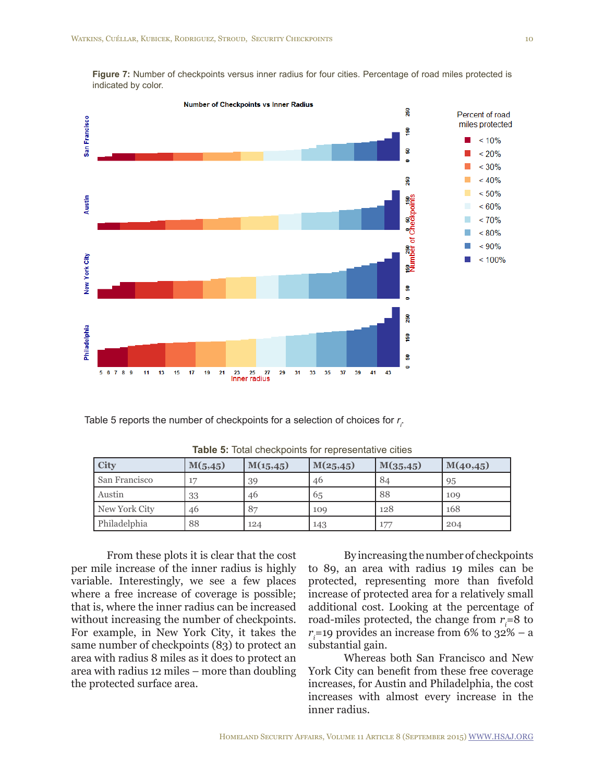**Figure 7:** Number of checkpoints versus inner radius for four cities. Percentage of road miles protected is indicated by color.



Table 5 reports the number of checkpoints for a selection of choices for  $r_{\rho}$ .

| <b>City</b>   | M(5, 45) | M(15, 45) | M(25, 45) | M(35, 45) | M(40, 45) |
|---------------|----------|-----------|-----------|-----------|-----------|
| San Francisco | 17       | 39        | 46        | 84        | 95        |
| Austin        | 33       | 46        | 65        | 88        | 109       |
| New York City | 46       | 87        | 109       | 128       | 168       |
| Philadelphia  | 88       | 124       | 143       | 177       | 204       |

**Table 5:** Total checkpoints for representative cities

From these plots it is clear that the cost per mile increase of the inner radius is highly variable. Interestingly, we see a few places where a free increase of coverage is possible; that is, where the inner radius can be increased without increasing the number of checkpoints. For example, in New York City, it takes the same number of checkpoints (83) to protect an area with radius 8 miles as it does to protect an area with radius 12 miles – more than doubling the protected surface area.

By increasing the number of checkpoints to 89, an area with radius 19 miles can be protected, representing more than fivefold increase of protected area for a relatively small additional cost. Looking at the percentage of road-miles protected, the change from *ri =*8 to  $r_i$ =19 provides an increase from 6% to 32% – a substantial gain.

Whereas both San Francisco and New York City can benefit from these free coverage increases, for Austin and Philadelphia, the cost increases with almost every increase in the inner radius.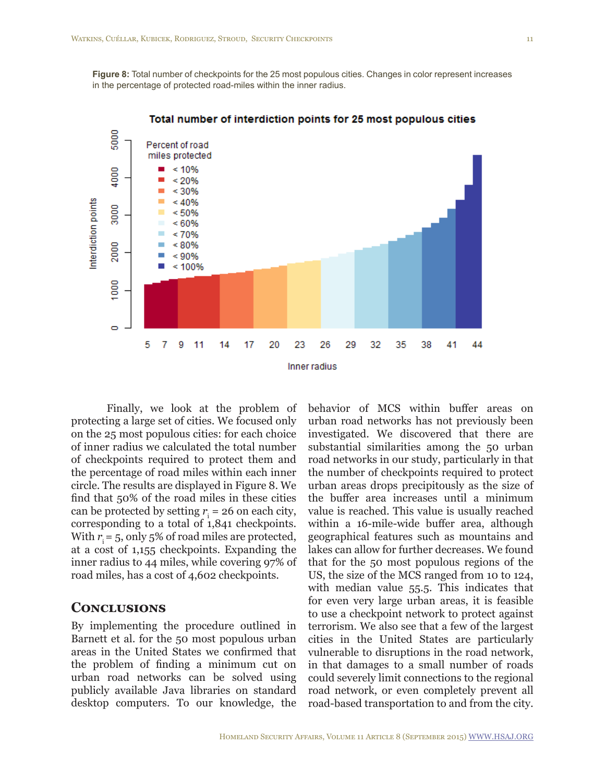**Figure 8:** Total number of checkpoints for the 25 most populous cities. Changes in color represent increases in the percentage of protected road-miles within the inner radius.



Total number of interdiction points for 25 most populous cities

Finally, we look at the problem of protecting a large set of cities. We focused only on the 25 most populous cities: for each choice of inner radius we calculated the total number of checkpoints required to protect them and the percentage of road miles within each inner circle. The results are displayed in Figure 8. We find that 50% of the road miles in these cities can be protected by setting  $r_i = 26$  on each city, corresponding to a total of 1,841 checkpoints. With  $r_i = 5$ , only 5% of road miles are protected, at a cost of 1,155 checkpoints. Expanding the inner radius to 44 miles, while covering 97% of road miles, has a cost of 4,602 checkpoints.

### **Conclusions**

By implementing the procedure outlined in Barnett et al. for the 50 most populous urban areas in the United States we confirmed that the problem of finding a minimum cut on urban road networks can be solved using publicly available Java libraries on standard desktop computers. To our knowledge, the

behavior of MCS within buffer areas on urban road networks has not previously been investigated. We discovered that there are substantial similarities among the 50 urban road networks in our study, particularly in that the number of checkpoints required to protect urban areas drops precipitously as the size of the buffer area increases until a minimum value is reached. This value is usually reached within a 16-mile-wide buffer area, although geographical features such as mountains and lakes can allow for further decreases. We found that for the 50 most populous regions of the US, the size of the MCS ranged from 10 to 124, with median value 55.5. This indicates that for even very large urban areas, it is feasible to use a checkpoint network to protect against terrorism. We also see that a few of the largest cities in the United States are particularly vulnerable to disruptions in the road network, in that damages to a small number of roads could severely limit connections to the regional road network, or even completely prevent all road-based transportation to and from the city.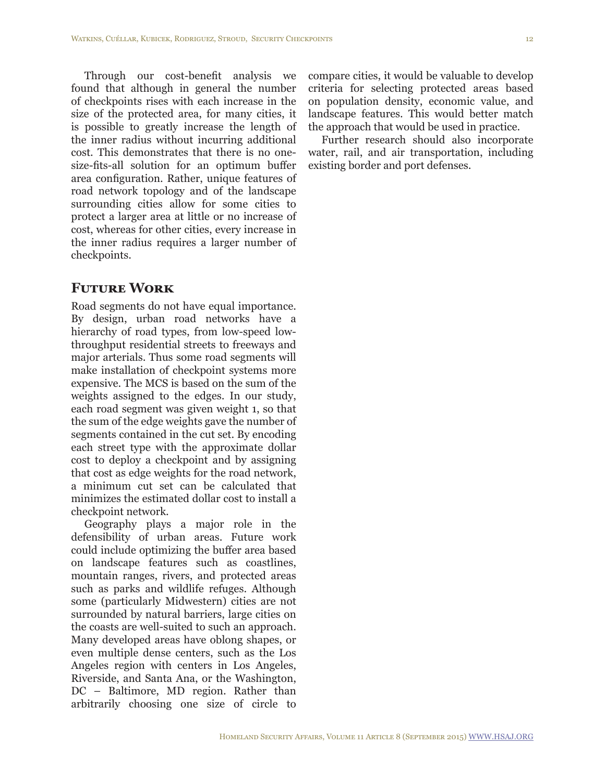Through our cost-benefit analysis we found that although in general the number of checkpoints rises with each increase in the size of the protected area, for many cities, it is possible to greatly increase the length of the inner radius without incurring additional cost. This demonstrates that there is no onesize-fits-all solution for an optimum buffer area configuration. Rather, unique features of road network topology and of the landscape surrounding cities allow for some cities to protect a larger area at little or no increase of cost, whereas for other cities, every increase in the inner radius requires a larger number of checkpoints.

## **Future Work**

Road segments do not have equal importance. By design, urban road networks have a hierarchy of road types, from low-speed lowthroughput residential streets to freeways and major arterials. Thus some road segments will make installation of checkpoint systems more expensive. The MCS is based on the sum of the weights assigned to the edges. In our study, each road segment was given weight 1, so that the sum of the edge weights gave the number of segments contained in the cut set. By encoding each street type with the approximate dollar cost to deploy a checkpoint and by assigning that cost as edge weights for the road network, a minimum cut set can be calculated that minimizes the estimated dollar cost to install a checkpoint network.

Geography plays a major role in the defensibility of urban areas. Future work could include optimizing the buffer area based on landscape features such as coastlines, mountain ranges, rivers, and protected areas such as parks and wildlife refuges. Although some (particularly Midwestern) cities are not surrounded by natural barriers, large cities on the coasts are well-suited to such an approach. Many developed areas have oblong shapes, or even multiple dense centers, such as the Los Angeles region with centers in Los Angeles, Riverside, and Santa Ana, or the Washington, DC – Baltimore, MD region. Rather than arbitrarily choosing one size of circle to

compare cities, it would be valuable to develop criteria for selecting protected areas based on population density, economic value, and landscape features. This would better match the approach that would be used in practice.

Further research should also incorporate water, rail, and air transportation, including existing border and port defenses.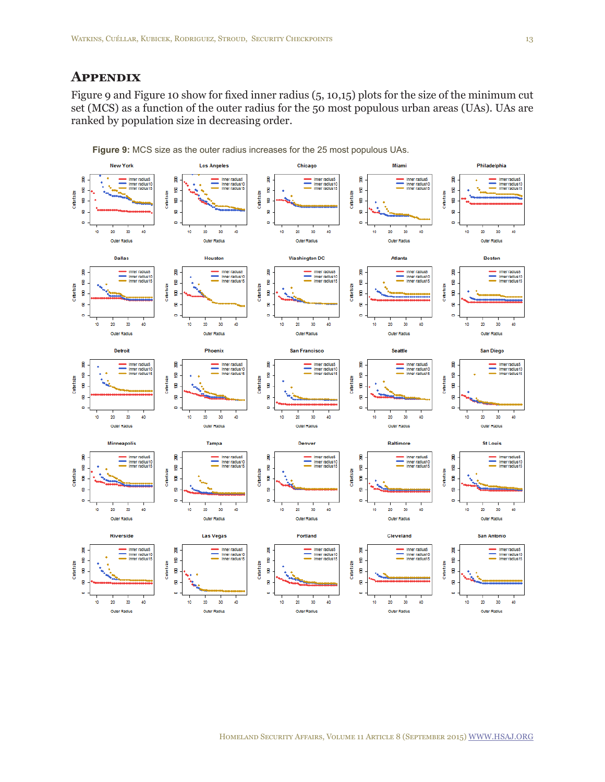## **Appendix**

Figure 9 and Figure 10 show for fixed inner radius (5, 10,15) plots for the size of the minimum cut set (MCS) as a function of the outer radius for the 50 most populous urban areas (UAs). UAs are ranked by population size in decreasing order.



**Figure 9:** MCS size as the outer radius increases for the 25 most populous UAs.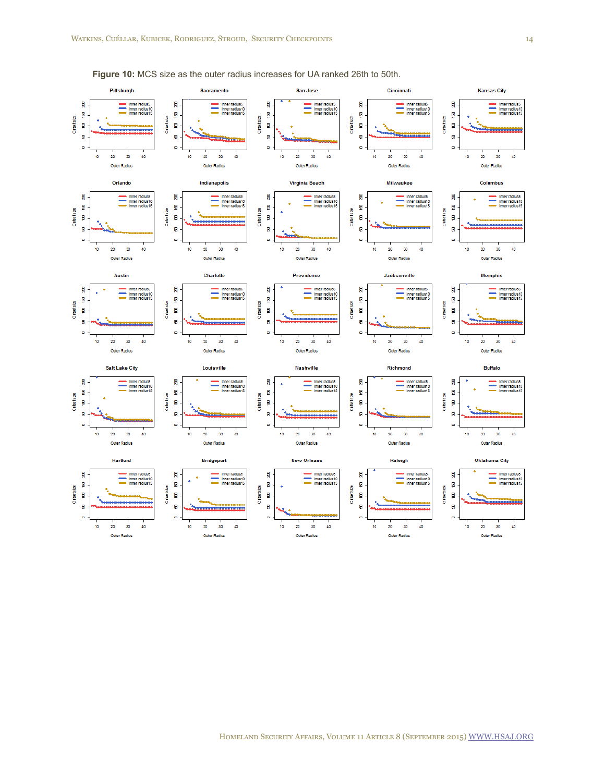

**Figure 10:** MCS size as the outer radius increases for UA ranked 26th to 50th.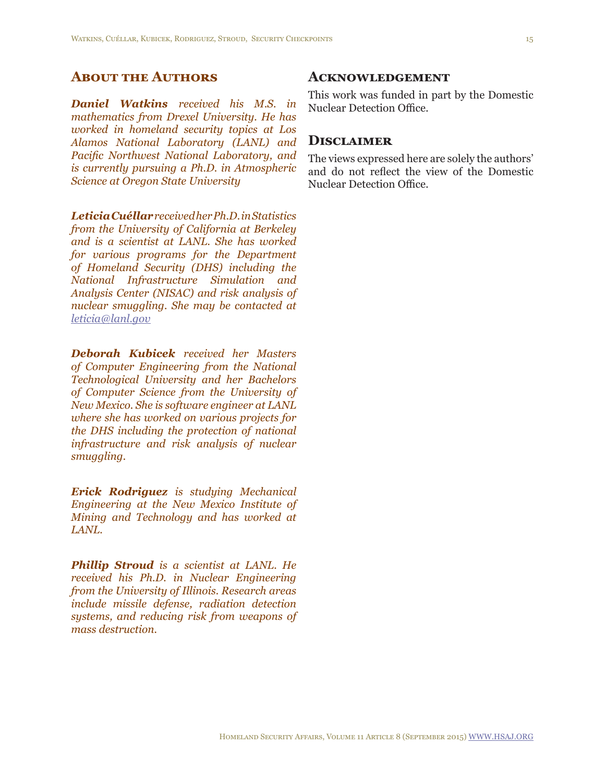## **About the Authors**

*Daniel Watkins received his M.S. in mathematics from Drexel University. He has worked in homeland security topics at Los Alamos National Laboratory (LANL) and Pacific Northwest National Laboratory, and is currently pursuing a Ph.D. in Atmospheric Science at Oregon State University*

*Leticia Cuéllar received her Ph.D. in Statistics from the University of California at Berkeley and is a scientist at LANL. She has worked for various programs for the Department of Homeland Security (DHS) including the National Infrastructure Simulation and Analysis Center (NISAC) and risk analysis of nuclear smuggling. She may be contacted at [leticia@lanl.gov](mailto:leticia@lanl.gov)*

*Deborah Kubicek received her Masters of Computer Engineering from the National Technological University and her Bachelors of Computer Science from the University of New Mexico. She is software engineer at LANL where she has worked on various projects for the DHS including the protection of national infrastructure and risk analysis of nuclear smuggling.*

*Erick Rodriguez is studying Mechanical Engineering at the New Mexico Institute of Mining and Technology and has worked at LANL.*

*Phillip Stroud is a scientist at LANL. He received his Ph.D. in Nuclear Engineering from the University of Illinois. Research areas include missile defense, radiation detection systems, and reducing risk from weapons of mass destruction.*

#### **Acknowledgement**

This work was funded in part by the Domestic Nuclear Detection Office.

#### **Disclaimer**

The views expressed here are solely the authors' and do not reflect the view of the Domestic Nuclear Detection Office.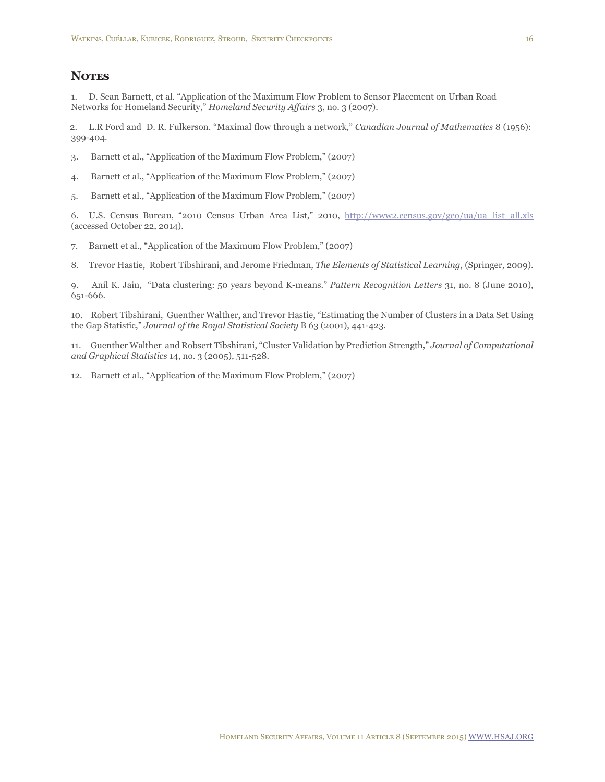#### **NOTES**

<span id="page-15-0"></span>1. D. Sean Barnett, et al. "Application of the Maximum Flow Problem to Sensor Placement on Urban Road Networks for Homeland Security," *Homeland Security Affairs* 3, no. 3 (2007).

<span id="page-15-1"></span>2. L.R Ford and D. R. Fulkerson. "Maximal flow through a network," *Canadian Journal of Mathematics* 8 (1956): 399-404.

- <span id="page-15-2"></span>3. Barnett et al., "Application of the Maximum Flow Problem," (2007)
- <span id="page-15-3"></span>4. Barnett et al., "Application of the Maximum Flow Problem," (2007)
- <span id="page-15-4"></span>5. Barnett et al., "Application of the Maximum Flow Problem," (2007)

<span id="page-15-5"></span>6. U.S. Census Bureau, "2010 Census Urban Area List," 2010, [http://www2.census.gov/geo/ua/ua\\_list\\_all.xls](http://www2.census.gov/geo/ua/ua_list_all.xls) (accessed October 22, 2014).

- <span id="page-15-6"></span>7. Barnett et al., "Application of the Maximum Flow Problem," (2007)
- <span id="page-15-10"></span>8. Trevor Hastie, Robert Tibshirani, and Jerome Friedman, *The Elements of Statistical Learning*, (Springer, 2009).

<span id="page-15-11"></span>9. Anil K. Jain, "Data clustering: 50 years beyond K-means." *Pattern Recognition Letters* 31, no. 8 (June 2010), 651-666.

<span id="page-15-7"></span>10. Robert Tibshirani, Guenther Walther, and Trevor Hastie, "Estimating the Number of Clusters in a Data Set Using the Gap Statistic," *Journal of the Royal Statistical Society* B 63 (2001), 441-423.

<span id="page-15-8"></span>11. Guenther Walther and Robsert Tibshirani, "Cluster Validation by Prediction Strength," *Journal of Computational and Graphical Statistics* 14, no. 3 (2005), 511-528.

<span id="page-15-9"></span>12. Barnett et al., "Application of the Maximum Flow Problem," (2007)